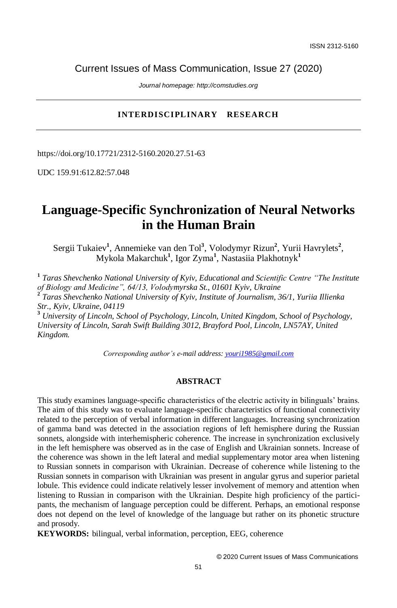Current Issues of Mass Communication, Issue 27 (2020)

*Journal homepage: http://comstudies.org*

## **INTERDISCIPLINARY RESEARCH**

https://doi.org/10.17721/2312-5160.2020.27.51-63

UDC 159.91:612.82:57.048

## **Language-Specific Synchronization of Neural Networks in the Human Brain**

Sergii Tukaiev<sup>1</sup>, Annemieke van den Tol<sup>3</sup>, Volodymyr Rizun<sup>2</sup>, Yurii Havrylets<sup>2</sup>, Mykola Makarchuk**<sup>1</sup>** , Igor Zyma**<sup>1</sup>** , Nastasiia Plakhotnyk**<sup>1</sup>**

**1** *Taras Shevchenko National University of Kyiv, Educational and Scientific Centre "The Institute of Biology and Medicine", 64/13, Volodymyrska St., 01601 Kyiv, Ukraine* **2** *Taras Shevchenko National University of Kyiv, Institute of Journalism, 36/1, Yuriia Illienka Str., Kyiv, Ukraine, 04119*

**<sup>3</sup>** *University of Lincoln, School of Psychology, Lincoln, United Kingdom, School of Psychology, University of Lincoln, Sarah Swift Building 3012, Brayford Pool, Lincoln, LN57AY, United Kingdom.*

*Corresponding author's e-mail address[: youri1985@gmail.com](mailto:yuliyaspriad@gmail.com)*

#### **ABSTRACT**

This study examines language-specific characteristics of the electric activity in bilinguals' brains. The aim of this study was to evaluate language-specific characteristics of functional connectivity related to the perception of verbal information in different languages. Increasing synchronization of gamma band was detected in the association regions of left hemisphere during the Russian sonnets, alongside with interhemispheric coherence. The increase in synchronization exclusively in the left hemisphere was observed as in the case of English and Ukrainian sonnets. Increase of the coherence was shown in the left lateral and medial supplementary motor area when listening to Russian sonnets in comparison with Ukrainian. Decrease of coherence while listening to the Russian sonnets in comparison with Ukrainian was present in angular gyrus and superior parietal lobule. This evidence could indicate relatively lesser involvement of memory and attention when listening to Russian in comparison with the Ukrainian. Despite high proficiency of the participants, the mechanism of language perception could be different. Perhaps, an emotional response does not depend on the level of knowledge of the language but rather on its phonetic structure and prosody.

**KEYWORDS:** bilingual, verbal information, perception, EEG, coherence

© 2020 Current Issues of Mass Communications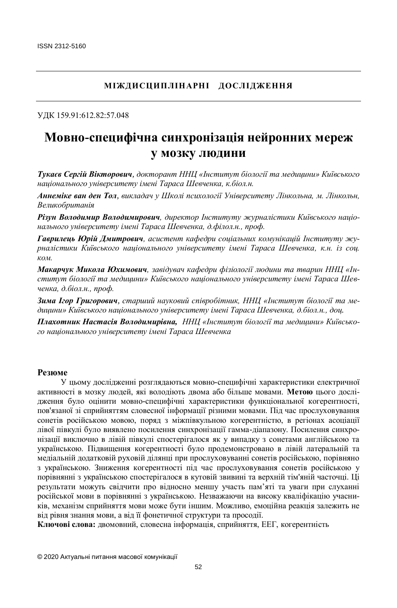## **МІЖДИСЦИПЛІНАРНІ ДОСЛІДЖЕННЯ**

УДК 159.91:612.82:57.048

# **Мовно-специфічна синхронізація нейронних мереж у мозку людини**

*Тукаєв Сергій Вікторович, докторант ННЦ «Інститут біології та медицини» Київського національного університету імені Тараса Шевченка, к.біол.н.*

*Аннеміке ван ден Тол, викладач у Школі психології Університету Лінкольна, м. Лінкольн, Великобританія*

*Різун Володимир Володимирович, директор Інституту журналістики Київського національного університету імені Тараса Шевченка, д.філол.н., проф.*

*Гаврилець Юрій Дмитрович, асистент кафедри соціальних комунікацій Інституту журналістики Київського національного університету імені Тараса Шевченка, к.н. із соц. ком.*

*Макарчук Микола Юхимович, завідувач кафедри фізіології людини та тварин ННЦ «Інститут біології та медицини» Київського національного університету імені Тараса Шевченка, д.біол.н., проф.*

*Зима Ігор Григорович, старший науковий співробітник, ННЦ «Інститут біології та медицини» Київського національного університету імені Тараса Шевченка, д.біол.н., доц.*

*Плахотник Настасія Володимирівна, ННЦ «Інститут біології та медицини» Київського національного університету імені Тараса Шевченка*

#### **Резюме**

У цьому дослідженні розглядаються мовно-специфічні характеристики електричної активності в мозку людей, які володіють двома або більше мовами. **Метою** цього дослідження було оцінити мовно-специфічні характеристики функціональної когерентності, пов'язаної зі сприйняттям словесної інформації різними мовами. Під час прослуховування сонетів російською мовою, поряд з міжпівкульною когерентністю, в регіонах асоціації лівої півкулі було виявлено посилення синхронізації гамма-діапазону. Посилення синхронізації виключно в лівій півкулі спостерігалося як у випадку з сонетами англійською та українською. Підвищення когерентності було продемонстровано в лівій латеральній та медіальній додатковій руховій ділянці при прослуховуванні сонетів російською, порівняно з українською. Зниження когерентності під час прослуховування сонетів російською у порівнянні з українською спостерігалося в кутовій звивині та верхній тім'яній часточці. Ці результати можуть свідчити про відносно меншу участь пам'яті та уваги при слуханні російської мови в порівнянні з українською. Незважаючи на високу кваліфікацію учасників, механізм сприйняття мови може бути іншим. Можливо, емоційна реакція залежить не від рівня знання мови, а від її фонетичної структури та просодії.

**Ключові слова:** двомовний, словесна інформація, сприйняття, ЕЕГ, когерентність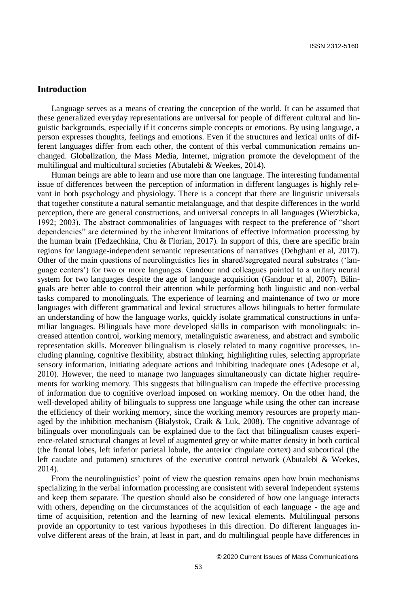#### **Introduction**

Language serves as a means of creating the conception of the world. It can be assumed that these generalized everyday representations are universal for people of different cultural and linguistic backgrounds, especially if it concerns simple concepts or emotions. By using language, a person expresses thoughts, feelings and emotions. Even if the structures and lexical units of different languages differ from each other, the content of this verbal communication remains unchanged. Globalization, the Mass Media, Internet, migration promote the development of the multilingual and multicultural societies (Abutalebi & Weekes, 2014).

Human beings are able to learn and use more than one language. The interesting fundamental issue of differences between the perception of information in different languages is highly relevant in both psychology and physiology. There is a concept that there are linguistic universals that together constitute a natural semantic metalanguage, and that despite differences in the world perception, there are general constructions, and universal concepts in all languages (Wierzbicka, 1992; 2003). The abstract commonalities of languages with respect to the preference of "short dependencies" are determined by the inherent limitations of effective information processing by the human brain (Fedzechkina, Chu & Florian, 2017). In support of this, there are specific brain regions for language-independent semantic representations of narratives (Dehghani et al, 2017). Other of the main questions of neurolinguistics lies in shared/segregated neural substrates ('language centers') for two or more languages. Gandour and colleagues pointed to a unitary neural system for two languages despite the age of language acquisition (Gandour et al, 2007). Bilinguals are better able to control their attention while performing both linguistic and non-verbal tasks compared to monolinguals. The experience of learning and maintenance of two or more languages with different grammatical and lexical structures allows bilinguals to better formulate an understanding of how the language works, quickly isolate grammatical constructions in unfamiliar languages. Bilinguals have more developed skills in comparison with monolinguals: increased attention control, working memory, metalinguistic awareness, and abstract and symbolic representation skills. Moreover bilingualism is closely related to many cognitive processes, including planning, cognitive flexibility, abstract thinking, highlighting rules, selecting appropriate sensory information, initiating adequate actions and inhibiting inadequate ones (Adesope et al, 2010). However, the need to manage two languages simultaneously can dictate higher requirements for working memory. This suggests that bilingualism can impede the effective processing of information due to cognitive overload imposed on working memory. On the other hand, the well-developed ability of bilinguals to suppress one language while using the other can increase the efficiency of their working memory, since the working memory resources are properly managed by the inhibition mechanism (Bialystok, Craik & Luk, 2008). The cognitive advantage of bilinguals over monolinguals can be explained due to the fact that bilingualism causes experience-related structural changes at level of augmented grey or white matter density in both cortical (the frontal lobes, left inferior parietal lobule, the anterior cingulate cortex) and subcortical (the left caudate and putamen) structures of the executive control network (Abutalebi & Weekes, 2014).

From the neurolinguistics' point of view the question remains open how brain mechanisms specializing in the verbal information processing are consistent with several independent systems and keep them separate. The question should also be considered of how one language interacts with others, depending on the circumstances of the acquisition of each language - the age and time of acquisition, retention and the learning of new lexical elements. Multilingual persons provide an opportunity to test various hypotheses in this direction. Do different languages involve different areas of the brain, at least in part, and do multilingual people have differences in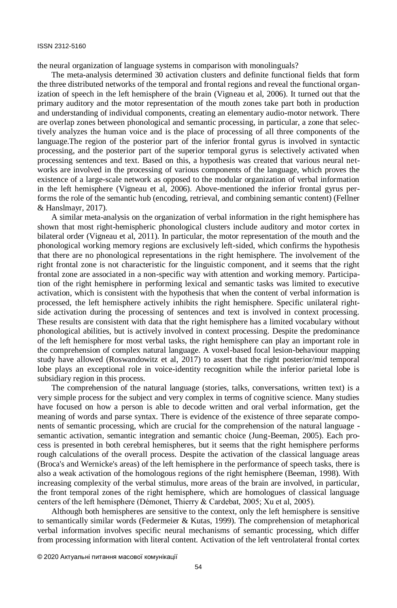the neural organization of language systems in comparison with monolinguals?

The meta-analysis determined 30 activation clusters and definite functional fields that form the three distributed networks of the temporal and frontal regions and reveal the functional organization of speech in the left hemisphere of the brain (Vigneau et al, 2006). It turned out that the primary auditory and the motor representation of the mouth zones take part both in production and understanding of individual components, creating an elementary audio-motor network. There are overlap zones between phonological and semantic processing, in particular, a zone that selectively analyzes the human voice and is the place of processing of all three components of the language.The region of the posterior part of the inferior frontal gyrus is involved in syntactic processing, and the posterior part of the superior temporal gyrus is selectively activated when processing sentences and text. Based on this, a hypothesis was created that various neural networks are involved in the processing of various components of the language, which proves the existence of a large-scale network as opposed to the modular organization of verbal information in the left hemisphere (Vigneau et al, 2006). Above-mentioned the inferior frontal gyrus performs the role of the semantic hub (encoding, retrieval, and combining semantic content) (Fellner & Hanslmayr, 2017).

A similar meta-analysis on the organization of verbal information in the right hemisphere has shown that most right-hemispheric phonological clusters include auditory and motor cortex in bilateral order (Vigneau et al, 2011). In particular, the motor representation of the mouth and the phonological working memory regions are exclusively left-sided, which confirms the hypothesis that there are no phonological representations in the right hemisphere. The involvement of the right frontal zone is not characteristic for the linguistic component, and it seems that the right frontal zone are associated in a non-specific way with attention and working memory. Participation of the right hemisphere in performing lexical and semantic tasks was limited to executive activation, which is consistent with the hypothesis that when the content of verbal information is processed, the left hemisphere actively inhibits the right hemisphere. Specific unilateral rightside activation during the processing of sentences and text is involved in context processing. These results are consistent with data that the right hemisphere has a limited vocabulary without phonological abilities, but is actively involved in context processing. Despite the predominance of the left hemisphere for most verbal tasks, the right hemisphere can play an important role in the comprehension of complex natural language. A voxel-based focal lesion-behaviour mapping study have allowed (Roswandowitz et al, 2017) to assert that the right posterior/mid temporal lobe plays an exceptional role in voice-identity recognition while the inferior parietal lobe is subsidiary region in this process.

The comprehension of the natural language (stories, talks, conversations, written text) is a very simple process for the subject and very complex in terms of cognitive science. Many studies have focused on how a person is able to decode written and oral verbal information, get the meaning of words and parse syntax. There is evidence of the existence of three separate components of semantic processing, which are crucial for the comprehension of the natural language semantic activation, semantic integration and semantic choice (Jung-Beeman, 2005). Each process is presented in both cerebral hemispheres, but it seems that the right hemisphere performs rough calculations of the overall process. Despite the activation of the classical language areas (Broca's and Wernicke's areas) of the left hemisphere in the performance of speech tasks, there is also a weak activation of the homologous regions of the right hemisphere (Beeman, 1998). With increasing complexity of the verbal stimulus, more areas of the brain are involved, in particular, the front temporal zones of the right hemisphere, which are homologues of classical language centers of the left hemisphere (Démonet, Thierry & Cardebat, 2005; Xu et al, 2005).

Although both hemispheres are sensitive to the context, only the left hemisphere is sensitive to semantically similar words (Federmeier & Kutas, 1999). The comprehension of metaphorical verbal information involves specific neural mechanisms of semantic processing, which differ from processing information with literal content. Activation of the left ventrolateral frontal cortex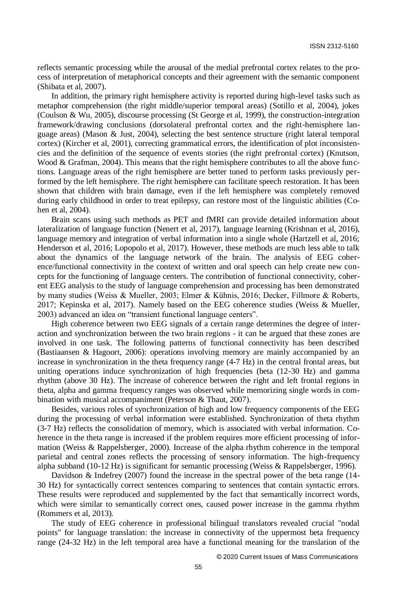reflects semantic processing while the arousal of the medial prefrontal cortex relates to the process of interpretation of metaphorical concepts and their agreement with the semantic component (Shibata et al, 2007).

In addition, the primary right hemisphere activity is reported during high-level tasks such as metaphor comprehension (the right middle/superior temporal areas) (Sotillo et al, 2004), jokes (Coulson & Wu, 2005), discourse processing (St George et al, 1999), the construction-integration framework/drawing conclusions (dorsolateral prefrontal cortex and the right-hemisphere language areas) (Mason & Just, 2004), selecting the best sentence structure (right lateral temporal cortex) (Kircher et al, 2001), correcting grammatical errors, the identification of plot inconsistencies and the definition of the sequence of events stories (the right prefrontal cortex) (Knutson, Wood & Grafman, 2004). This means that the right hemisphere contributes to all the above functions. Language areas of the right hemisphere are better tuned to perform tasks previously performed by the left hemisphere. The right hemisphere can facilitate speech restoration. It has been shown that children with brain damage, even if the left hemisphere was completely removed during early childhood in order to treat epilepsy, can restore most of the linguistic abilities (Cohen et al, 2004).

Brain scans using such methods as PET and fMRI can provide detailed information about lateralization of language function (Nenert et al, 2017), language learning (Krishnan et al, 2016), language memory and integration of verbal information into a single whole (Hartzell et al, 2016; Henderson et al, 2016; Lopopolo et al, 2017). However, these methods are much less able to talk about the dynamics of the language network of the brain. The analysis of EEG coherence/functional connectivity in the context of written and oral speech can help create new concepts for the functioning of language centers. The contribution of functional connectivity, coherent EEG analysis to the study of language comprehension and processing has been demonstrated by many studies (Weiss & Mueller, 2003; Elmer & Kühnis, 2016; Decker, Fillmore & Roberts, 2017; Kepinska et al, 2017). Namely based on the EEG coherence studies (Weiss & Mueller, 2003) advanced an idea on "transient functional language centers".

High coherence between two EEG signals of a certain range determines the degree of interaction and synchronization between the two brain regions - it can be argued that these zones are involved in one task. The following patterns of functional connectivity has been described (Bastiaansen & Hagoort, 2006): operations involving memory are mainly accompanied by an increase in synchronization in the theta frequency range (4-7 Hz) in the central frontal areas, but uniting operations induce synchronization of high frequencies (beta (12-30 Hz) and gamma rhythm (above 30 Hz). The increase of coherence between the right and left frontal regions in theta, alpha and gamma frequency ranges was observed while memorizing single words in combination with musical accompaniment (Peterson & Thaut, 2007).

Besides, various roles of synchronization of high and low frequency components of the EEG during the processing of verbal information were established. Synchronization of theta rhythm (3-7 Hz) reflects the consolidation of memory, which is associated with verbal information. Coherence in the theta range is increased if the problem requires more efficient processing of information (Weiss & Rappelsberger, 2000). Increase of the alpha rhythm coherence in the temporal parietal and central zones reflects the processing of sensory information. The high-frequency alpha subband (10-12 Hz) is significant for semantic processing (Weiss & Rappelsberger, 1996).

Davidson & Indefrey (2007) found the increase in the spectral power of the beta range (14- 30 Hz) for syntactically correct sentences comparing to sentences that contain syntactic errors. These results were reproduced and supplemented by the fact that semantically incorrect words, which were similar to semantically correct ones, caused power increase in the gamma rhythm (Rommers et al, 2013).

The study of EEG coherence in professional bilingual translators revealed crucial "nodal points" for language translation: the increase in connectivity of the uppermost beta frequency range (24-32 Hz) in the left temporal area have a functional meaning for the translation of the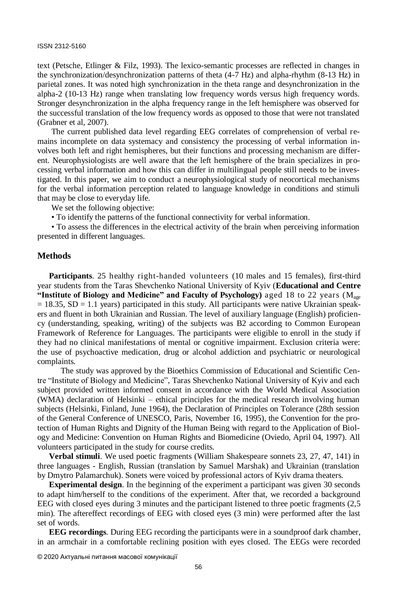text (Petsche, Etlinger & Filz, 1993). The lexico-semantic processes are reflected in changes in the synchronization/desynchronization patterns of theta (4-7 Hz) and alpha-rhythm (8-13 Hz) in parietal zones. It was noted high synchronization in the theta range and desynchronization in the alpha-2 (10-13 Hz) range when translating low frequency words versus high frequency words. Stronger desynchronization in the alpha frequency range in the left hemisphere was observed for the successful translation of the low frequency words as opposed to those that were not translated (Grabner et al, 2007).

The current published data level regarding EEG correlates of comprehension of verbal remains incomplete on data systemacy and consistency the processing of verbal information involves both left and right hemispheres, but their functions and processing mechanism are different. Neurophysiologists are well aware that the left hemisphere of the brain specializes in processing verbal information and how this can differ in multilingual people still needs to be investigated. In this paper, we aim to conduct a neurophysiological study of neocortical mechanisms for the verbal information perception related to language knowledge in conditions and stimuli that may be close to everyday life.

We set the following objective:

• To identify the patterns of the functional connectivity for verbal information.

• To assess the differences in the electrical activity of the brain when perceiving information presented in different languages.

#### **Methods**

**Participants**. 25 healthy right-handed volunteers (10 males and 15 females), first-third year students from the Taras Shevchenko National University of Kyiv (**Educational and Centre "Institute of Biology and Medicine" and Faculty of Psychology)** aged 18 to 22 years (Mage  $= 18.35$ , SD  $= 1.1$  years) participated in this study. All participants were native Ukrainian speakers and fluent in both Ukrainian and Russian. The level of auxiliary language (English) proficiency (understanding, speaking, writing) of the subjects was B2 according to Common European Framework of Reference for Languages. The participants were eligible to enroll in the study if they had no clinical manifestations of mental or cognitive impairment. Exclusion criteria were: the use of psychoactive medication, drug or alcohol addiction and psychiatric or neurological complaints.

The study was approved by the Bioethics Commission of Educational and Scientific Centre "Institute of Biology and Medicine", Taras Shevchenko National University of Kyiv and each subject provided written informed consent in accordance with the World Medical Association (WMA) declaration of Helsinki – ethical principles for the medical research involving human subjects (Helsinki, Finland, June 1964), the Declaration of Principles on Tolerance (28th session of the General Conference of UNESCO, Paris, November 16, 1995), the Convention for the protection of Human Rights and Dignity of the Human Being with regard to the Application of Biology and Medicine: Convention on Human Rights and Biomedicine (Oviedo, April 04, 1997). All volunteers participated in the study for course credits.

**Verbal stimuli**. We used poetic fragments (William Shakespeare sonnets 23, 27, 47, 141) in three languages - English, Russian (translation by Samuel Marshak) and Ukrainian (translation by Dmytro Palamarchuk). Sonets were voiced by professional actors of Kyiv drama theaters.

**Experimental design**. In the beginning of the experiment a participant was given 30 seconds to adapt him/herself to the conditions of the experiment. After that, we recorded a background EEG with closed eyes during 3 minutes and the participant listened to three poetic fragments (2,5 min). The aftereffect recordings of EEG with closed eyes (3 min) were performed after the last set of words.

**EEG recordings**. During EEG recording the participants were in a soundproof dark chamber, in an armchair in a comfortable reclining position with eyes closed. The EEGs were recorded

<sup>© 2020</sup> Актуальні питання масової комунікації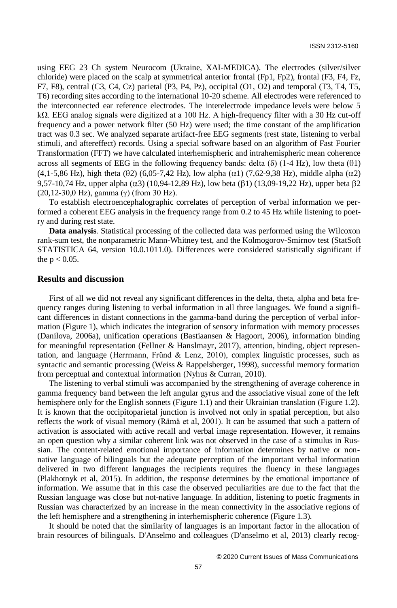using EEG 23 Ch system Neurocom (Ukraine, XAI-MEDICA). The electrodes (silver/silver chloride) were placed on the scalp at symmetrical anterior frontal (Fp1, Fp2), frontal (F3, F4, Fz, F7, F8), central (C3, C4, Cz) parietal (P3, P4, Pz), occipital (O1, O2) and temporal (T3, T4, T5, T6) recording sites according to the international 10-20 scheme. All electrodes were referenced to the interconnected ear reference electrodes. The interelectrode impedance levels were below 5 kΩ. EEG analog signals were digitized at a 100 Hz. A high-frequency filter with a 30 Hz cut-off frequency and a power network filter (50 Hz) were used; the time constant of the amplification tract was 0.3 sec. We analyzed separate artifact-free EEG segments (rest state, listening to verbal stimuli, and aftereffect) records. Using a special software based on an algorithm of Fast Fourier Transformation (FFT) we have calculated interhemispheric and intrahemispheric mean coherence across all segments of EEG in the following frequency bands: delta  $(\delta)$  (1-4 Hz), low theta ( $\theta$ 1)  $(4,1-5,86 \text{ Hz})$ , high theta  $(\theta 2)$  (6,05-7,42 Hz), low alpha ( $\alpha$ 1) (7,62-9,38 Hz), middle alpha ( $\alpha$ 2) 9,57-10,74 Hz, upper alpha  $(\alpha 3)$  (10,94-12,89 Hz), low beta ( $\beta$ 1) (13,09-19,22 Hz), upper beta  $\beta$ 2 (20,12-30,0 Hz), gamma (γ) (from 30 Hz).

To establish electroencephalographic correlates of perception of verbal information we performed a coherent EEG analysis in the frequency range from 0.2 to 45 Hz while listening to poetry and during rest state.

**Data analysis**. Statistical processing of the collected data was performed using the Wilcoxon rank-sum test, the nonparametric Mann-Whitney test, and the Kolmogorov-Smirnov test (StatSoft STATISTICA 64, version 10.0.1011.0). Differences were considered statistically significant if the  $p < 0.05$ .

#### **Results and discussion**

First of all we did not reveal any significant differences in the delta, theta, alpha and beta frequency ranges during listening to verbal information in all three languages. We found a significant differences in distant connections in the gamma-band during the perception of verbal information (Figure 1), which indicates the integration of sensory information with memory processes (Danilova, 2006a), unification operations (Bastiaansen & Hagoort, 2006), information binding for meaningful representation (Fellner & Hanslmayr, 2017), attention, binding, object representation, and language (Herrmann, Fründ & Lenz, 2010), complex linguistic processes, such as syntactic and semantic processing (Weiss & Rappelsberger, 1998), successful memory formation from perceptual and contextual information (Nyhus & Curran, 2010).

The listening to verbal stimuli was accompanied by the strengthening of average coherence in gamma frequency band between the left angular gyrus and the associative visual zone of the left hemisphere only for the English sonnets (Figure 1.1) and their Ukrainian translation (Figure 1.2). It is known that the occipitoparietal junction is involved not only in spatial perception, but also reflects the work of visual memory (Rämä et al, 2001). It can be assumed that such a pattern of activation is associated with active recall and verbal image representation. However, it remains an open question why a similar coherent link was not observed in the case of a stimulus in Russian. The content-related emotional importance of information determines by native or nonnative language of bilinguals but the adequate perception of the important verbal information delivered in two different languages the recipients requires the fluency in these languages (Plakhotnyk et al, 2015). In addition, the response determines by the emotional importance of information. We assume that in this case the observed peculiarities are due to the fact that the Russian language was close but not-native language. In addition, listening to poetic fragments in Russian was characterized by an increase in the mean connectivity in the associative regions of the left hemisphere and a strengthening in interhemispheric coherence (Figure 1.3).

It should be noted that the similarity of languages is an important factor in the allocation of brain resources of bilinguals. D'Anselmo and colleagues (D'anselmo et al, 2013) clearly recog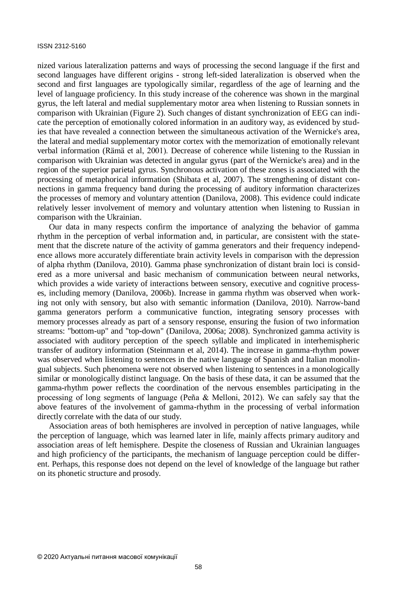nized various lateralization patterns and ways of processing the second language if the first and second languages have different origins - strong left-sided lateralization is observed when the second and first languages are typologically similar, regardless of the age of learning and the level of language proficiency. In this study increase of the coherence was shown in the marginal gyrus, the left lateral and medial supplementary motor area when listening to Russian sonnets in comparison with Ukrainian (Figure 2). Such changes of distant synchronization of EEG can indicate the perception of emotionally colored information in an auditory way, as evidenced by studies that have revealed a connection between the simultaneous activation of the Wernicke's area, the lateral and medial supplementary motor cortex with the memorization of emotionally relevant verbal information (Rämä et al, 2001). Decrease of coherence while listening to the Russian in comparison with Ukrainian was detected in angular gyrus (part of the Wernicke's area) and in the region of the superior parietal gyrus. Synchronous activation of these zones is associated with the processing of metaphorical information (Shibata et al, 2007). The strengthening of distant connections in gamma frequency band during the processing of auditory information characterizes the processes of memory and voluntary attention (Danilova, 2008). This evidence could indicate relatively lesser involvement of memory and voluntary attention when listening to Russian in comparison with the Ukrainian.

Our data in many respects confirm the importance of analyzing the behavior of gamma rhythm in the perception of verbal information and, in particular, are consistent with the statement that the discrete nature of the activity of gamma generators and their frequency independence allows more accurately differentiate brain activity levels in comparison with the depression of alpha rhythm (Danilova, 2010). Gamma phase synchronization of distant brain loci is considered as a more universal and basic mechanism of communication between neural networks, which provides a wide variety of interactions between sensory, executive and cognitive processes, including memory (Danilova, 2006b). Increase in gamma rhythm was observed when working not only with sensory, but also with semantic information (Danilova, 2010). Narrow-band gamma generators perform a communicative function, integrating sensory processes with memory processes already as part of a sensory response, ensuring the fusion of two information streams: "bottom-up" and "top-down" (Danilova, 2006a; 2008). Synchronized gamma activity is associated with auditory perception of the speech syllable and implicated in interhemispheric transfer of auditory information (Steinmann et al, 2014). The increase in gamma-rhythm power was observed when listening to sentences in the native language of Spanish and Italian monolingual subjects. Such phenomena were not observed when listening to sentences in a monologically similar or monologically distinct language. On the basis of these data, it can be assumed that the gamma-rhythm power reflects the coordination of the nervous ensembles participating in the processing of long segments of language (Peña & Melloni, 2012). We can safely say that the above features of the involvement of gamma-rhythm in the processing of verbal information directly correlate with the data of our study.

Association areas of both hemispheres are involved in perception of native languages, while the perception of language, which was learned later in life, mainly affects primary auditory and association areas of left hemisphere. Despite the closeness of Russian and Ukrainian languages and high proficiency of the participants, the mechanism of language perception could be different. Perhaps, this response does not depend on the level of knowledge of the language but rather on its phonetic structure and prosody.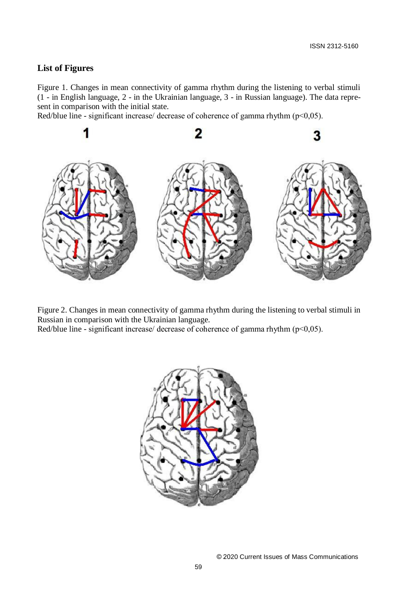## **List of Figures**

Figure 1. Changes in mean connectivity of gamma rhythm during the listening to verbal stimuli (1 - in English language, 2 - in the Ukrainian language, 3 - in Russian language). The data represent in comparison with the initial state.

Red/blue line - significant increase/ decrease of coherence of gamma rhythm (p<0,05).



Figure 2. Changes in mean connectivity of gamma rhythm during the listening to verbal stimuli in Russian in comparison with the Ukrainian language.

Red/blue line - significant increase/ decrease of coherence of gamma rhythm (p<0,05).

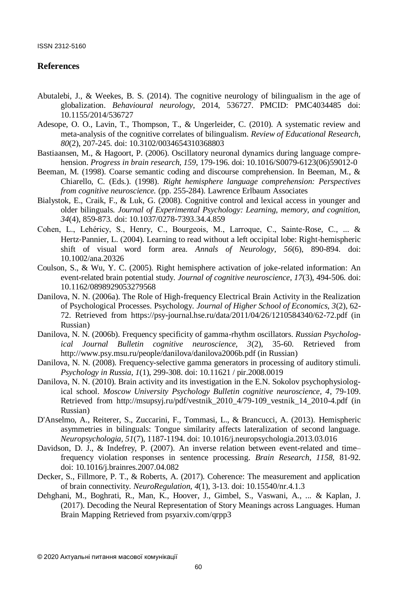### **References**

- Abutalebi, J., & Weekes, B. S. (2014). The cognitive neurology of bilingualism in the age of globalization. *Behavioural neurology*, 2014, 536727. PMCID: PMC4034485 doi: 10.1155/2014/536727
- Adesope, O. O., Lavin, T., Thompson, T., & Ungerleider, C. (2010). A systematic review and meta-analysis of the cognitive correlates of bilingualism. *Review of Educational Research, 80*(2), 207-245. doi: 10.3102/0034654310368803
- Bastiaansen, M., & Hagoort, P. (2006). Oscillatory neuronal dynamics during language comprehension. *Progress in brain research, 159*, 179-196. doi: 10.1016/S0079-6123(06)59012-0
- Beeman, M. (1998). Coarse semantic coding and discourse comprehension. In Beeman, M., & Chiarello, C. (Eds.). (1998). *Right hemisphere language comprehension: Perspectives from cognitive neuroscience.* (pp. 255-284). Lawrence Erlbaum Associates
- Bialystok, E., Craik, F., & Luk, G. (2008). Cognitive control and lexical access in younger and older bilinguals. *Journal of Experimental Psychology: Learning, memory, and cognition, 34*(4), 859-873. doi: 10.1037/0278-7393.34.4.859
- Cohen, L., Lehéricy, S., Henry, C., Bourgeois, M., Larroque, C., Sainte‐Rose, C., ... & Hertz‐Pannier, L. (2004). Learning to read without a left occipital lobe: Right‐hemispheric shift of visual word form area. *Annals of Neurology, 56*(6), 890-894. doi: 10.1002/ana.20326
- Coulson, S., & Wu, Y. C. (2005). Right hemisphere activation of joke-related information: An event-related brain potential study. *Journal of cognitive neuroscience, 17*(3), 494-506. doi: 10.1162/0898929053279568
- Danilova, N. N. (2006a). The Role of High-frequency Electrical Brain Activity in the Realization of Psychological Processes. Psychology. *Journal of Higher School of Economics, 3*(2), 62- 72. Retrieved from https://psy-journal.hse.ru/data/2011/04/26/1210584340/62-72.pdf (in Russian)
- Danilova, N. N. (2006b). Frequency specificity of gamma-rhythm oscillators. *Russian Psychological Journal Bulletin cognitive neuroscience, 3*(2), 35-60. Retrieved from http://www.psy.msu.ru/people/danilova/danilova2006b.pdf (in Russian)
- Danilova, N. N. (2008). Frequency-selective gamma generators in processing of auditory stimuli. *Psychology in Russia, 1*(1), 299-308. doi: 10.11621 / pir.2008.0019
- Danilova, N. N. (2010). Brain activity and its investigation in the E.N. Sokolov psychophysiological school. *Moscow University Psychology Bulletin cognitive neuroscience, 4*, 79-109. Retrieved from http://msupsyj.ru/pdf/vestnik\_2010\_4/79-109\_vestnik\_14\_2010-4.pdf (in Russian)
- D'Anselmo, A., Reiterer, S., Zuccarini, F., Tommasi, L., & Brancucci, A. (2013). Hemispheric asymmetries in bilinguals: Tongue similarity affects lateralization of second language. *Neuropsychologia, 51*(7), 1187-1194. doi: 10.1016/j.neuropsychologia.2013.03.016
- Davidson, D. J., & Indefrey, P. (2007). An inverse relation between event-related and time– frequency violation responses in sentence processing. *Brain Research, 1158,* 81-92. doi: 10.1016/j.brainres.2007.04.082
- Decker, S., Fillmore, P. T., & Roberts, A. (2017). Coherence: The measurement and application of brain connectivity. *NeuroRegulation, 4*(1), 3-13. doi: 10.15540/nr.4.1.3
- Dehghani, M., Boghrati, R., Man, K., Hoover, J., Gimbel, S., Vaswani, A., ... & Kaplan, J. (2017). Decoding the Neural Representation of Story Meanings across Languages. Human Brain Mapping Retrieved from psyarxiv.com/qrpp3

© 2020 Актуальні питання масової комунікації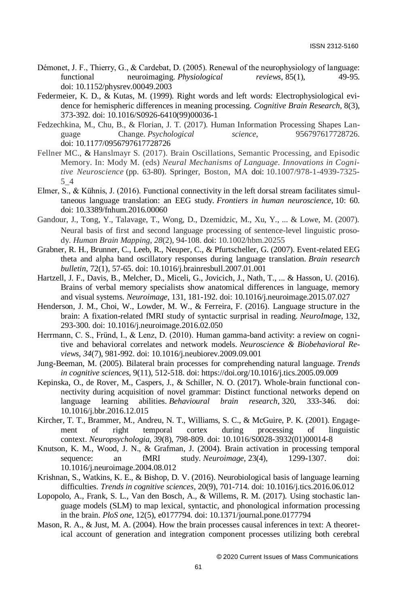- Démonet, J. F., Thierry, G., & Cardebat, D. (2005). Renewal of the neurophysiology of language: functional neuroimaging. *Physiological reviews*, 85(1), 49-95. doi: 10.1152/physrev.00049.2003
- Federmeier, K. D., & Kutas, M. (1999). Right words and left words: Electrophysiological evidence for hemispheric differences in meaning processing. *Cognitive Brain Research*, 8(3), 373-392. doi: [10.1016/S0926-6410\(99\)00036-1](https://doi.org/10.1016/S0926-6410(99)00036-1)
- Fedzechkina, M., Chu, B., & Florian, J. T. (2017). Human Information Processing Shapes Language Change. *Psychological science*, 956797617728726. doi: 10.1177/0956797617728726
- Fellner MC., & Hanslmayr S. (2017). Brain Oscillations, Semantic Processing, and Episodic Memory. In: Mody M. (eds) *Neural Mechanisms of Language. Innovations in Cognitive Neuroscience* (pp. 63-80). Springer, Boston, MA doi: 10.1007/978-1-4939-7325- 5\_4
- Elmer, S., & Kühnis, J. (2016). Functional connectivity in the left dorsal stream facilitates simultaneous language translation: an EEG study. *Frontiers in human neuroscience*, 10: 60. doi: 10.3389/fnhum.2016.00060
- Gandour, J., Tong, Y., Talavage, T., Wong, D., Dzemidzic, M., Xu, Y., ... & Lowe, M. (2007). Neural basis of first and second language processing of sentence‐level linguistic prosody. *Human Brain Mapping*, *28*(2), 94-108. doi: 10.1002/hbm.20255
- Grabner, R. H., Brunner, C., Leeb, R., Neuper, C., & Pfurtscheller, G. (2007). Event-related EEG theta and alpha band oscillatory responses during language translation. *Brain research bulletin*, 72(1), 57-65. doi: [10.1016/j.brainresbull.2007.01.001](https://doi.org/10.1016/j.brainresbull.2007.01.001)
- Hartzell, J. F., Davis, B., Melcher, D., Miceli, G., Jovicich, J., Nath, T., ... & Hasson, U. (2016). Brains of verbal memory specialists show anatomical differences in language, memory and visual systems. *Neuroimage,* 131, 181-192. doi: [10.1016/j.neuroimage.2015.07.027](https://doi.org/10.1016/j.neuroimage.2015.07.027)
- Henderson, J. M., Choi, W., Lowder, M. W., & Ferreira, F. (2016). Language structure in the brain: A fixation-related fMRI study of syntactic surprisal in reading. *NeuroImage,* 132, 293-300. doi: [10.1016/j.neuroimage.2016.02.050](https://doi.org/10.1016/j.neuroimage.2016.02.050)
- Herrmann, C. S., Fründ, I., & Lenz, D. (2010). Human gamma-band activity: a review on cognitive and behavioral correlates and network models. *Neuroscience & Biobehavioral Reviews*, *34*(7), 981-992. doi: [10.1016/j.neubiorev.2009.09.001](https://doi.org/10.1016/j.neubiorev.2009.09.001)
- Jung-Beeman, M. (2005). Bilateral brain processes for comprehending natural language. *Trends in cognitive sciences*, 9(11), 512-518. doi[: https://doi.org/10.1016/j.tics.2005.09.009](https://doi.org/10.1016/j.tics.2005.09.009)
- Kepinska, O., de Rover, M., Caspers, J., & Schiller, N. O. (2017). Whole-brain functional connectivity during acquisition of novel grammar: Distinct functional networks depend on language learning abilities. *Behavioural brain research*, 320, 333-346. doi: 10.1016/j.bbr.2016.12.015
- Kircher, T. T., Brammer, M., Andreu, N. T., Williams, S. C., & McGuire, P. K. (2001). Engagement of right temporal cortex during processing of linguistic context. *Neuropsychologia*, 39(8), 798-809. doi[: 10.1016/S0028-3932\(01\)00014-8](https://doi.org/10.1016/S0028-3932(01)00014-8)
- Knutson, K. M., Wood, J. N., & Grafman, J. (2004). Brain activation in processing temporal sequence: an fMRI study. *Neuroimage*, 23(4), 1299-1307. doi: [10.1016/j.neuroimage.2004.08.012](https://doi.org/10.1016/j.neuroimage.2004.08.012)
- Krishnan, S., Watkins, K. E., & Bishop, D. V. (2016). Neurobiological basis of language learning difficulties. *Trends in cognitive sciences*, 20(9), 701-714. doi: [10.1016/j.tics.2016.06.012](https://doi.org/10.1016/j.tics.2016.06.012)
- Lopopolo, A., Frank, S. L., Van den Bosch, A., & Willems, R. M. (2017). Using stochastic language models (SLM) to map lexical, syntactic, and phonological information processing in the brain. *PloS one*, 12(5), e0177794. doi: [10.1371/journal.pone.0177794](https://doi.org/10.1371/journal.pone.0177794)
- Mason, R. A., & Just, M. A. (2004). How the brain processes causal inferences in text: A theoretical account of generation and integration component processes utilizing both cerebral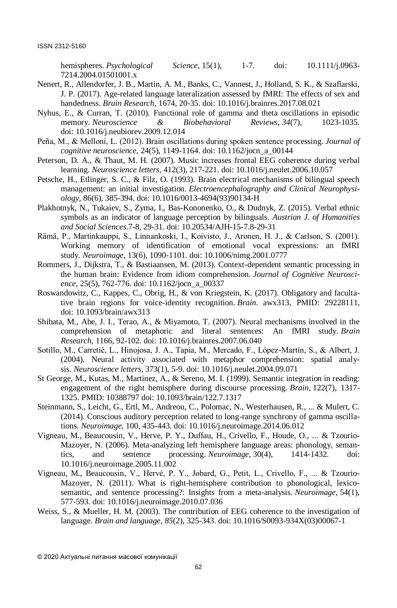hemispheres. *Psychological Science*, 15(1), 1-7. doi: [10.1111/j.0963-](https://doi.org/10.1111/j.0963-7214.2004.01501001.x) [7214.2004.01501001.x](https://doi.org/10.1111/j.0963-7214.2004.01501001.x)

- Nenert, R., Allendorfer, J. B., Martin, A. M., Banks, C., Vannest, J., Holland, S. K., & Szaflarski, J. P. (2017). Age-related language lateralization assessed by fMRI: The effects of sex and handedness. *Brain Research*, 1674, 20-35. doi[: 10.1016/j.brainres.2017.08.021](https://doi.org/10.1016/j.brainres.2017.08.021)
- Nyhus, E., & Curran, T. (2010). Functional role of gamma and theta oscillations in episodic memory. *Neuroscience & Biobehavioral Reviews*, *34*(7), 1023-1035. doi: [10.1016/j.neubiorev.2009.12.014](https://doi.org/10.1016/j.neubiorev.2009.12.014)
- Peña, M., & Melloni, L. (2012). Brain oscillations during spoken sentence processing. *Journal of cognitive neuroscience*, 24(5), 1149-1164. doi: 10.1162/jocn\_a\_00144
- Peterson, D. A., & Thaut, M. H. (2007). Music increases frontal EEG coherence during verbal learning. *Neuroscience letters*, 412(3), 217-221. doi[: 10.1016/j.neulet.2006.10.057](https://doi.org/10.1016/j.neulet.2006.10.057)
- Petsche, H., Etlinger, S. C., & Filz, O. (1993). Brain electrical mechanisms of bilingual speech management: an initial investigation. *Electroencephalography and Clinical Neurophysiology*, 86(6), 385-394. doi: 10.1016/0013-4694(93)90134-H
- Plakhotnyk, N., Tukaiev, S., Zyma, I., Bas-Kononenko, O., & Dudnyk, Z. (2015). Verbal ethnic symbols as an indicator of language perception by bilinguals. *Austrian J. of Humanities and Social Sciences*.7-8, 29-31. doi: 10.20534/AJH-15-7.8-29-31
- Rämä, P., Martinkauppi, S., Linnankoski, I., Koivisto, J., Aronen, H. J., & Carlson, S. (2001). Working memory of identification of emotional vocal expressions: an fMRI study. *Neuroimage,* 13(6), 1090-1101. doi: 10.1006/nimg.2001.0777
- Rommers, J., Dijkstra, T., & Bastiaansen, M. (2013). Context-dependent semantic processing in the human brain: Evidence from idiom comprehension. *Journal of Cognitive Neuroscience*, 25(5), 762-776. doi: 10.1162/jocn\_a\_00337
- Roswandowitz, C., Kappes, C., Obrig, H., & von Kriegstein, K. (2017). Obligatory and facultative brain regions for voice-identity recognition. *Brain*. awx313, PMID: 29228111, doi: 10.1093/brain/awx313
- Shibata, M., Abe, J. I., Terao, A., & Miyamoto, T. (2007). Neural mechanisms involved in the comprehension of metaphoric and literal sentences: An fMRI study. *Brain Research*, 1166, 92-102. doi: [10.1016/j.brainres.2007.06.040](https://doi.org/10.1016/j.brainres.2007.06.040)
- Sotillo, M., Carretié, L., Hinojosa, J. A., Tapia, M., Mercado, F., López-Martín, S., & Albert, J. (2004). Neural activity associated with metaphor comprehension: spatial analysis. *Neuroscience letters*, 373(1), 5-9. doi: [10.1016/j.neulet.2004.09.071](https://doi.org/10.1016/j.neulet.2004.09.071)
- St George, M., Kutas, M., Martinez, A., & Sereno, M. I. (1999). Semantic integration in reading: engagement of the right hemisphere during discourse processing. *Brain*, 122(7), 1317- 1325. PMID: 10388797 doi[: 10.1093/brain/122.7.1317](https://doi.org/10.1093/brain/122.7.1317)
- Steinmann, S., Leicht, G., Ertl, M., Andreou, C., Polomac, N., Westerhausen, R., ... & Mulert, C. (2014). Conscious auditory perception related to long-range synchrony of gamma oscillations. *Neuroimage*, 100, 435-443. doi: [10.1016/j.neuroimage.2014.06.012](https://doi.org/10.1016/j.neuroimage.2014.06.012)
- Vigneau, M., Beaucousin, V., Herve, P. Y., Duffau, H., Crivello, F., Houde, O., ... & Tzourio-Mazoyer, N. (2006). Meta-analyzing left hemisphere language areas: phonology, semantics, and sentence processing. *Neuroimage*, 30(4), 1414-1432. doi: [10.1016/j.neuroimage.2005.11.002](https://doi.org/10.1016/j.neuroimage.2005.11.002)
- Vigneau, M., Beaucousin, V., Hervé, P. Y., Jobard, G., Petit, L., Crivello, F., ... & Tzourio-Mazoyer, N. (2011). What is right-hemisphere contribution to phonological, lexicosemantic, and sentence processing?: Insights from a meta-analysis. *Neuroimage*, 54(1), 577-593. doi: [10.1016/j.neuroimage.2010.07.036](https://doi.org/10.1016/j.neuroimage.2010.07.036)
- Weiss, S., & Mueller, H. M. (2003). The contribution of EEG coherence to the investigation of language. *Brain and language*, *85*(2), 325-343. doi: 10.1016/S0093-934X(03)00067-1

© 2020 Актуальні питання масової комунікації